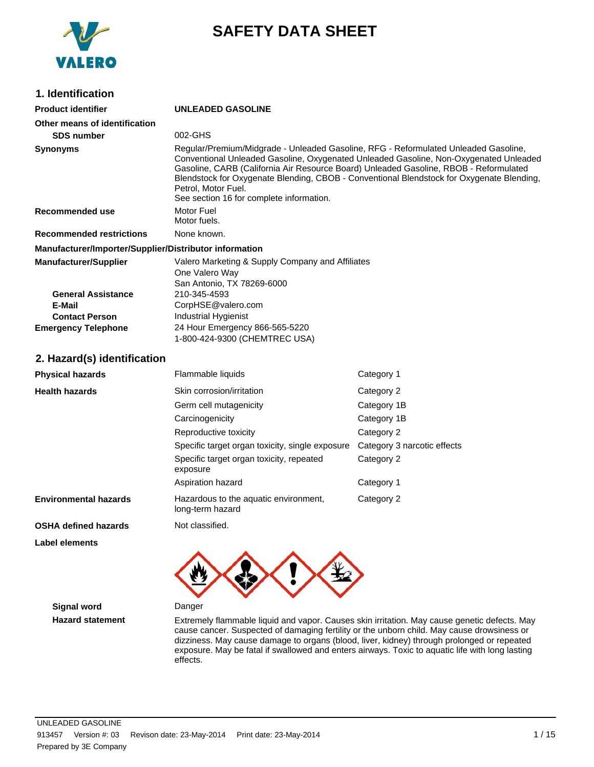

## **SAFETY DATA SHEET**

| 1. Identification                                                                                                          |                                                                                                                                                                                                                                                                                                                                                                                                                                       |                             |  |
|----------------------------------------------------------------------------------------------------------------------------|---------------------------------------------------------------------------------------------------------------------------------------------------------------------------------------------------------------------------------------------------------------------------------------------------------------------------------------------------------------------------------------------------------------------------------------|-----------------------------|--|
| <b>Product identifier</b>                                                                                                  | <b>UNLEADED GASOLINE</b>                                                                                                                                                                                                                                                                                                                                                                                                              |                             |  |
| Other means of identification<br><b>SDS number</b>                                                                         | 002-GHS                                                                                                                                                                                                                                                                                                                                                                                                                               |                             |  |
| <b>Synonyms</b>                                                                                                            | Regular/Premium/Midgrade - Unleaded Gasoline, RFG - Reformulated Unleaded Gasoline,<br>Conventional Unleaded Gasoline, Oxygenated Unleaded Gasoline, Non-Oxygenated Unleaded<br>Gasoline, CARB (California Air Resource Board) Unleaded Gasoline, RBOB - Reformulated<br>Blendstock for Oxygenate Blending, CBOB - Conventional Blendstock for Oxygenate Blending,<br>Petrol, Motor Fuel.<br>See section 16 for complete information. |                             |  |
| Recommended use                                                                                                            | Motor Fuel<br>Motor fuels.                                                                                                                                                                                                                                                                                                                                                                                                            |                             |  |
| <b>Recommended restrictions</b>                                                                                            | None known.                                                                                                                                                                                                                                                                                                                                                                                                                           |                             |  |
| Manufacturer/Importer/Supplier/Distributor information                                                                     |                                                                                                                                                                                                                                                                                                                                                                                                                                       |                             |  |
| <b>Manufacturer/Supplier</b><br><b>General Assistance</b><br>E-Mail<br><b>Contact Person</b><br><b>Emergency Telephone</b> | Valero Marketing & Supply Company and Affiliates<br>One Valero Way<br>San Antonio, TX 78269-6000<br>210-345-4593<br>CorpHSE@valero.com<br>Industrial Hygienist<br>24 Hour Emergency 866-565-5220                                                                                                                                                                                                                                      |                             |  |
|                                                                                                                            | 1-800-424-9300 (CHEMTREC USA)                                                                                                                                                                                                                                                                                                                                                                                                         |                             |  |
| 2. Hazard(s) identification                                                                                                |                                                                                                                                                                                                                                                                                                                                                                                                                                       |                             |  |
| <b>Physical hazards</b>                                                                                                    | Flammable liquids                                                                                                                                                                                                                                                                                                                                                                                                                     | Category 1                  |  |
| <b>Health hazards</b>                                                                                                      | Skin corrosion/irritation                                                                                                                                                                                                                                                                                                                                                                                                             | Category 2                  |  |
|                                                                                                                            | Germ cell mutagenicity                                                                                                                                                                                                                                                                                                                                                                                                                | Category 1B                 |  |
|                                                                                                                            | Carcinogenicity                                                                                                                                                                                                                                                                                                                                                                                                                       | Category 1B                 |  |
|                                                                                                                            | Reproductive toxicity                                                                                                                                                                                                                                                                                                                                                                                                                 | Category 2                  |  |
|                                                                                                                            | Specific target organ toxicity, single exposure                                                                                                                                                                                                                                                                                                                                                                                       | Category 3 narcotic effects |  |
|                                                                                                                            | Specific target organ toxicity, repeated<br>exposure                                                                                                                                                                                                                                                                                                                                                                                  | Category 2                  |  |
|                                                                                                                            | Aspiration hazard                                                                                                                                                                                                                                                                                                                                                                                                                     | Category 1                  |  |
| <b>Environmental hazards</b>                                                                                               | Hazardous to the aquatic environment,<br>long-term hazard                                                                                                                                                                                                                                                                                                                                                                             | Category 2                  |  |
| <b>OSHA defined hazards</b>                                                                                                | Not classified.                                                                                                                                                                                                                                                                                                                                                                                                                       |                             |  |
| <b>Label elements</b>                                                                                                      |                                                                                                                                                                                                                                                                                                                                                                                                                                       |                             |  |
|                                                                                                                            |                                                                                                                                                                                                                                                                                                                                                                                                                                       |                             |  |
| <b>Signal word</b>                                                                                                         | Danger                                                                                                                                                                                                                                                                                                                                                                                                                                |                             |  |

**Hazard statement** Extremely flammable liquid and vapor. Causes skin irritation. May cause genetic defects. May cause cancer. Suspected of damaging fertility or the unborn child. May cause drowsiness or dizziness. May cause damage to organs (blood, liver, kidney) through prolonged or repeated exposure. May be fatal if swallowed and enters airways. Toxic to aquatic life with long lasting effects.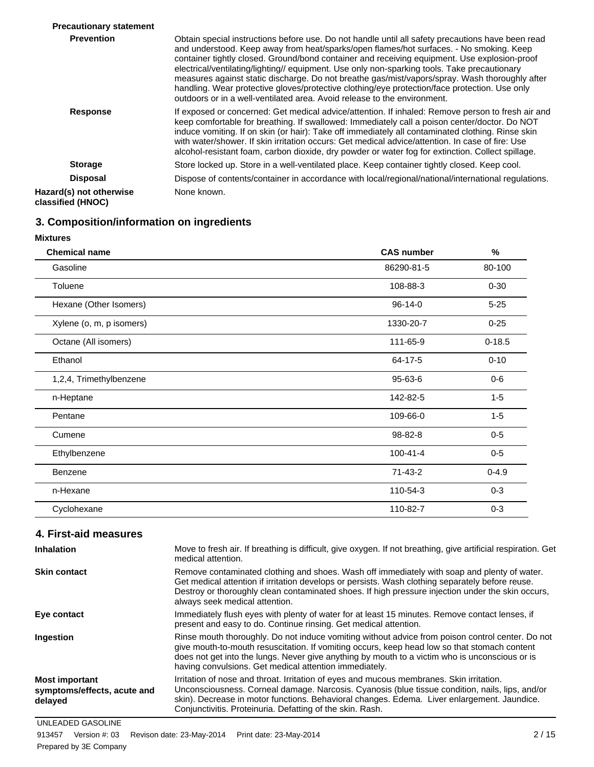| <b>Precautionary statement</b>               |                                                                                                                                                                                                                                                                                                                                                                                                                                                                                                                                                                                                                                                                             |
|----------------------------------------------|-----------------------------------------------------------------------------------------------------------------------------------------------------------------------------------------------------------------------------------------------------------------------------------------------------------------------------------------------------------------------------------------------------------------------------------------------------------------------------------------------------------------------------------------------------------------------------------------------------------------------------------------------------------------------------|
| <b>Prevention</b>                            | Obtain special instructions before use. Do not handle until all safety precautions have been read<br>and understood. Keep away from heat/sparks/open flames/hot surfaces. - No smoking. Keep<br>container tightly closed. Ground/bond container and receiving equipment. Use explosion-proof<br>electrical/ventilating/lighting// equipment. Use only non-sparking tools. Take precautionary<br>measures against static discharge. Do not breathe gas/mist/vapors/spray. Wash thoroughly after<br>handling. Wear protective gloves/protective clothing/eye protection/face protection. Use only<br>outdoors or in a well-ventilated area. Avoid release to the environment. |
| <b>Response</b>                              | If exposed or concerned: Get medical advice/attention. If inhaled: Remove person to fresh air and<br>keep comfortable for breathing. If swallowed: Immediately call a poison center/doctor. Do NOT<br>induce vomiting. If on skin (or hair): Take off immediately all contaminated clothing. Rinse skin<br>with water/shower. If skin irritation occurs: Get medical advice/attention. In case of fire: Use<br>alcohol-resistant foam, carbon dioxide, dry powder or water fog for extinction. Collect spillage.                                                                                                                                                            |
| <b>Storage</b>                               | Store locked up. Store in a well-ventilated place. Keep container tightly closed. Keep cool.                                                                                                                                                                                                                                                                                                                                                                                                                                                                                                                                                                                |
| <b>Disposal</b>                              | Dispose of contents/container in accordance with local/regional/national/international regulations.                                                                                                                                                                                                                                                                                                                                                                                                                                                                                                                                                                         |
| Hazard(s) not otherwise<br>classified (HNOC) | None known.                                                                                                                                                                                                                                                                                                                                                                                                                                                                                                                                                                                                                                                                 |

## **3. Composition/information on ingredients**

## **Mixtures**

| <b>Chemical name</b>     | <b>CAS number</b> | %          |
|--------------------------|-------------------|------------|
| Gasoline                 | 86290-81-5        | 80-100     |
| Toluene                  | 108-88-3          | $0 - 30$   |
| Hexane (Other Isomers)   | 96-14-0           | $5 - 25$   |
| Xylene (o, m, p isomers) | 1330-20-7         | $0 - 25$   |
| Octane (All isomers)     | 111-65-9          | $0 - 18.5$ |
| Ethanol                  | 64-17-5           | $0 - 10$   |
| 1,2,4, Trimethylbenzene  | 95-63-6           | $0-6$      |
| n-Heptane                | 142-82-5          | $1 - 5$    |
| Pentane                  | 109-66-0          | $1 - 5$    |
| Cumene                   | 98-82-8           | $0-5$      |
| Ethylbenzene             | $100 - 41 - 4$    | $0-5$      |
| Benzene                  | 71-43-2           | $0 - 4.9$  |
| n-Hexane                 | 110-54-3          | $0 - 3$    |
| Cyclohexane              | 110-82-7          | $0 - 3$    |

### **4. First-aid measures**

| <b>Inhalation</b>                                               | Move to fresh air. If breathing is difficult, give oxygen. If not breathing, give artificial respiration. Get<br>medical attention.                                                                                                                                                                                                                          |
|-----------------------------------------------------------------|--------------------------------------------------------------------------------------------------------------------------------------------------------------------------------------------------------------------------------------------------------------------------------------------------------------------------------------------------------------|
| <b>Skin contact</b>                                             | Remove contaminated clothing and shoes. Wash off immediately with soap and plenty of water.<br>Get medical attention if irritation develops or persists. Wash clothing separately before reuse.<br>Destroy or thoroughly clean contaminated shoes. If high pressure injection under the skin occurs,<br>always seek medical attention.                       |
| Eye contact                                                     | Immediately flush eyes with plenty of water for at least 15 minutes. Remove contact lenses, if<br>present and easy to do. Continue rinsing. Get medical attention.                                                                                                                                                                                           |
| Ingestion                                                       | Rinse mouth thoroughly. Do not induce vomiting without advice from poison control center. Do not<br>give mouth-to-mouth resuscitation. If vomiting occurs, keep head low so that stomach content<br>does not get into the lungs. Never give anything by mouth to a victim who is unconscious or is<br>having convulsions. Get medical attention immediately. |
| <b>Most important</b><br>symptoms/effects, acute and<br>delayed | Irritation of nose and throat. Irritation of eyes and mucous membranes. Skin irritation.<br>Unconsciousness. Corneal damage. Narcosis. Cyanosis (blue tissue condition, nails, lips, and/or<br>skin). Decrease in motor functions. Behavioral changes. Edema. Liver enlargement. Jaundice.<br>Conjunctivitis. Proteinuria. Defatting of the skin. Rash.      |

UNLEADED GASOLINE Prepared by 3E Company 913457 Version #: 03 Revison date: 23-May-2014 Print date: 23-May-2014 2 / 15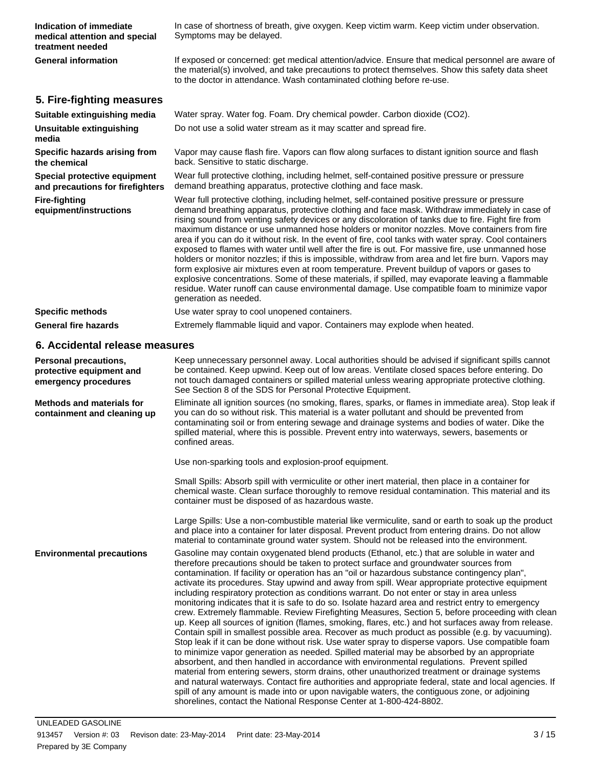| Indication of immediate<br>medical attention and special<br>treatment needed     | In case of shortness of breath, give oxygen. Keep victim warm. Keep victim under observation.<br>Symptoms may be delayed.                                                                                                                                                                                                                                                                                                                                                                                                                                                                                                                                                                                                                                                                                                                                                                                                                                                                                                                               |
|----------------------------------------------------------------------------------|---------------------------------------------------------------------------------------------------------------------------------------------------------------------------------------------------------------------------------------------------------------------------------------------------------------------------------------------------------------------------------------------------------------------------------------------------------------------------------------------------------------------------------------------------------------------------------------------------------------------------------------------------------------------------------------------------------------------------------------------------------------------------------------------------------------------------------------------------------------------------------------------------------------------------------------------------------------------------------------------------------------------------------------------------------|
| <b>General information</b>                                                       | If exposed or concerned: get medical attention/advice. Ensure that medical personnel are aware of<br>the material(s) involved, and take precautions to protect themselves. Show this safety data sheet<br>to the doctor in attendance. Wash contaminated clothing before re-use.                                                                                                                                                                                                                                                                                                                                                                                                                                                                                                                                                                                                                                                                                                                                                                        |
| 5. Fire-fighting measures                                                        |                                                                                                                                                                                                                                                                                                                                                                                                                                                                                                                                                                                                                                                                                                                                                                                                                                                                                                                                                                                                                                                         |
| Suitable extinguishing media                                                     | Water spray. Water fog. Foam. Dry chemical powder. Carbon dioxide (CO2).                                                                                                                                                                                                                                                                                                                                                                                                                                                                                                                                                                                                                                                                                                                                                                                                                                                                                                                                                                                |
| Unsuitable extinguishing<br>media                                                | Do not use a solid water stream as it may scatter and spread fire.                                                                                                                                                                                                                                                                                                                                                                                                                                                                                                                                                                                                                                                                                                                                                                                                                                                                                                                                                                                      |
| Specific hazards arising from<br>the chemical                                    | Vapor may cause flash fire. Vapors can flow along surfaces to distant ignition source and flash<br>back. Sensitive to static discharge.                                                                                                                                                                                                                                                                                                                                                                                                                                                                                                                                                                                                                                                                                                                                                                                                                                                                                                                 |
| Special protective equipment<br>and precautions for firefighters                 | Wear full protective clothing, including helmet, self-contained positive pressure or pressure<br>demand breathing apparatus, protective clothing and face mask.                                                                                                                                                                                                                                                                                                                                                                                                                                                                                                                                                                                                                                                                                                                                                                                                                                                                                         |
| <b>Fire-fighting</b><br>equipment/instructions                                   | Wear full protective clothing, including helmet, self-contained positive pressure or pressure<br>demand breathing apparatus, protective clothing and face mask. Withdraw immediately in case of<br>rising sound from venting safety devices or any discoloration of tanks due to fire. Fight fire from<br>maximum distance or use unmanned hose holders or monitor nozzles. Move containers from fire<br>area if you can do it without risk. In the event of fire, cool tanks with water spray. Cool containers<br>exposed to flames with water until well after the fire is out. For massive fire, use unmanned hose<br>holders or monitor nozzles; if this is impossible, withdraw from area and let fire burn. Vapors may<br>form explosive air mixtures even at room temperature. Prevent buildup of vapors or gases to<br>explosive concentrations. Some of these materials, if spilled, may evaporate leaving a flammable<br>residue. Water runoff can cause environmental damage. Use compatible foam to minimize vapor<br>generation as needed. |
| <b>Specific methods</b>                                                          | Use water spray to cool unopened containers.                                                                                                                                                                                                                                                                                                                                                                                                                                                                                                                                                                                                                                                                                                                                                                                                                                                                                                                                                                                                            |
| <b>General fire hazards</b>                                                      | Extremely flammable liquid and vapor. Containers may explode when heated.                                                                                                                                                                                                                                                                                                                                                                                                                                                                                                                                                                                                                                                                                                                                                                                                                                                                                                                                                                               |
| 6. Accidental release measures                                                   |                                                                                                                                                                                                                                                                                                                                                                                                                                                                                                                                                                                                                                                                                                                                                                                                                                                                                                                                                                                                                                                         |
| <b>Personal precautions,</b><br>protective equipment and<br>emergency procedures | Keep unnecessary personnel away. Local authorities should be advised if significant spills cannot<br>be contained. Keep upwind. Keep out of low areas. Ventilate closed spaces before entering. Do<br>not touch damaged containers or spilled material unless wearing appropriate protective clothing.<br>See Section 8 of the SDS for Personal Protective Equipment.                                                                                                                                                                                                                                                                                                                                                                                                                                                                                                                                                                                                                                                                                   |
| <b>Methods and materials for</b><br>containment and cleaning up                  | Eliminate all ignition sources (no smoking, flares, sparks, or flames in immediate area). Stop leak if<br>you can do so without risk. This material is a water pollutant and should be prevented from<br>contaminating soil or from entering sewage and drainage systems and bodies of water. Dike the<br>spilled material, where this is possible. Prevent entry into waterways, sewers, basements or<br>confined areas.                                                                                                                                                                                                                                                                                                                                                                                                                                                                                                                                                                                                                               |
|                                                                                  | Use non-sparking tools and explosion-proof equipment.                                                                                                                                                                                                                                                                                                                                                                                                                                                                                                                                                                                                                                                                                                                                                                                                                                                                                                                                                                                                   |
|                                                                                  | Small Spills: Absorb spill with vermiculite or other inert material, then place in a container for<br>chemical waste. Clean surface thoroughly to remove residual contamination. This material and its<br>container must be disposed of as hazardous waste.                                                                                                                                                                                                                                                                                                                                                                                                                                                                                                                                                                                                                                                                                                                                                                                             |
|                                                                                  | Large Spills: Use a non-combustible material like vermiculite, sand or earth to soak up the product<br>and place into a container for later disposal. Prevent product from entering drains. Do not allow<br>material to contaminate ground water system. Should not be released into the environment.                                                                                                                                                                                                                                                                                                                                                                                                                                                                                                                                                                                                                                                                                                                                                   |
| <b>Environmental precautions</b>                                                 | Gasoline may contain oxygenated blend products (Ethanol, etc.) that are soluble in water and<br>therefore precautions should be taken to protect surface and groundwater sources from<br>contamination. If facility or operation has an "oil or hazardous substance contingency plan",<br>activate its procedures. Stay upwind and away from spill. Wear appropriate protective equipment<br>including respiratory protection as conditions warrant. Do not enter or stay in area unless<br>monitoring indicates that it is safe to do so. Isolate hazard area and restrict entry to emergency<br>crew. Extremely flammable. Review Firefighting Measures, Section 5, before proceeding with clean<br>up. Keep all sources of ignition (flames, smoking, flares, etc.) and hot surfaces away from release.                                                                                                                                                                                                                                              |

Contain spill in smallest possible area. Recover as much product as possible (e.g. by vacuuming). Stop leak if it can be done without risk. Use water spray to disperse vapors. Use compatible foam to minimize vapor generation as needed. Spilled material may be absorbed by an appropriate absorbent, and then handled in accordance with environmental regulations. Prevent spilled material from entering sewers, storm drains, other unauthorized treatment or drainage systems and natural waterways. Contact fire authorities and appropriate federal, state and local agencies. If spill of any amount is made into or upon navigable waters, the contiguous zone, or adjoining

shorelines, contact the National Response Center at 1-800-424-8802.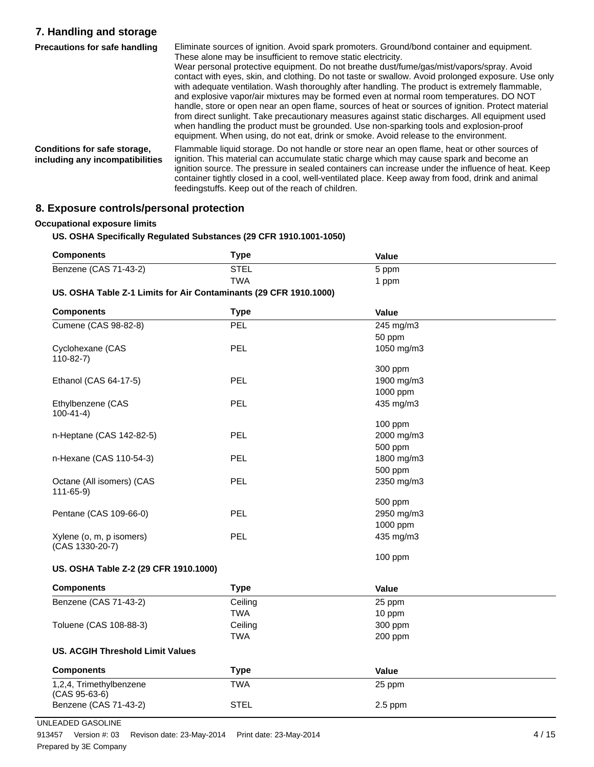## **7. Handling and storage**

| <b>Precautions for safe handling</b>                            | Eliminate sources of ignition. Avoid spark promoters. Ground/bond container and equipment.                                                                                                                                                                                                     |
|-----------------------------------------------------------------|------------------------------------------------------------------------------------------------------------------------------------------------------------------------------------------------------------------------------------------------------------------------------------------------|
|                                                                 | These alone may be insufficient to remove static electricity.                                                                                                                                                                                                                                  |
|                                                                 | Wear personal protective equipment. Do not breathe dust/fume/gas/mist/vapors/spray. Avoid<br>contact with eyes, skin, and clothing. Do not taste or swallow. Avoid prolonged exposure. Use only                                                                                                |
|                                                                 | with adequate ventilation. Wash thoroughly after handling. The product is extremely flammable,                                                                                                                                                                                                 |
|                                                                 | and explosive vapor/air mixtures may be formed even at normal room temperatures. DO NOT<br>handle, store or open near an open flame, sources of heat or sources of ignition. Protect material                                                                                                  |
|                                                                 | from direct sunlight. Take precautionary measures against static discharges. All equipment used                                                                                                                                                                                                |
|                                                                 | when handling the product must be grounded. Use non-sparking tools and explosion-proof<br>equipment. When using, do not eat, drink or smoke. Avoid release to the environment.                                                                                                                 |
| Conditions for safe storage,<br>including any incompatibilities | Flammable liquid storage. Do not handle or store near an open flame, heat or other sources of<br>ignition. This material can accumulate static charge which may cause spark and become an<br>ignition source. The pressure in sealed containers can increase under the influence of heat. Keep |
|                                                                 | container tightly closed in a cool, well-ventilated place. Keep away from food, drink and animal<br>feedingstuffs. Keep out of the reach of children.                                                                                                                                          |

## **8. Exposure controls/personal protection**

#### **Occupational exposure limits**

#### **US. OSHA Specifically Regulated Substances (29 CFR 1910.1001-1050)**

| <b>Components</b>                                                       | Type | Value |  |
|-------------------------------------------------------------------------|------|-------|--|
| Benzene (CAS 71-43-2)                                                   | STEL | 5 ppm |  |
|                                                                         | TWA  | ppm   |  |
| <b>UC OCUA Teble 7.4 Limits for Air Conteminants (30 CED 4040 4000)</b> |      |       |  |

#### **US. OSHA Table Z-1 Limits for Air Contaminants (29 CFR 1910.1000)**

| <b>Components</b>                           | <b>Type</b> | Value      |  |
|---------------------------------------------|-------------|------------|--|
| Cumene (CAS 98-82-8)                        | PEL         | 245 mg/m3  |  |
|                                             |             | 50 ppm     |  |
| Cyclohexane (CAS<br>$110-82-7$              | PEL         | 1050 mg/m3 |  |
|                                             |             | 300 ppm    |  |
| Ethanol (CAS 64-17-5)                       | <b>PEL</b>  | 1900 mg/m3 |  |
|                                             |             | 1000 ppm   |  |
| Ethylbenzene (CAS<br>$100-41-4)$            | <b>PEL</b>  | 435 mg/m3  |  |
|                                             |             | 100 ppm    |  |
| n-Heptane (CAS 142-82-5)                    | <b>PEL</b>  | 2000 mg/m3 |  |
|                                             |             | 500 ppm    |  |
| n-Hexane (CAS 110-54-3)                     | PEL         | 1800 mg/m3 |  |
|                                             |             | 500 ppm    |  |
| Octane (All isomers) (CAS<br>$111 - 65 - 9$ | <b>PEL</b>  | 2350 mg/m3 |  |
|                                             |             | 500 ppm    |  |
| Pentane (CAS 109-66-0)                      | <b>PEL</b>  | 2950 mg/m3 |  |
|                                             |             | 1000 ppm   |  |
| Xylene (o, m, p isomers)<br>(CAS 1330-20-7) | PEL         | 435 mg/m3  |  |
|                                             |             | $100$ ppm  |  |
| US. OSHA Table Z-2 (29 CFR 1910.1000)       |             |            |  |
| <b>Components</b>                           | <b>Type</b> | Value      |  |
| Benzene (CAS 71-43-2)                       | Ceiling     | 25 ppm     |  |
|                                             | <b>TWA</b>  | 10 ppm     |  |
| Toluene (CAS 108-88-3)                      | Ceiling     | 300 ppm    |  |
|                                             | <b>TWA</b>  | 200 ppm    |  |
| <b>US. ACGIH Threshold Limit Values</b>     |             |            |  |
| <b>Components</b>                           | <b>Type</b> | Value      |  |
| 1,2,4, Trimethylbenzene<br>(CAS 95-63-6)    | <b>TWA</b>  | 25 ppm     |  |
| Benzene (CAS 71-43-2)                       | <b>STEL</b> | $2.5$ ppm  |  |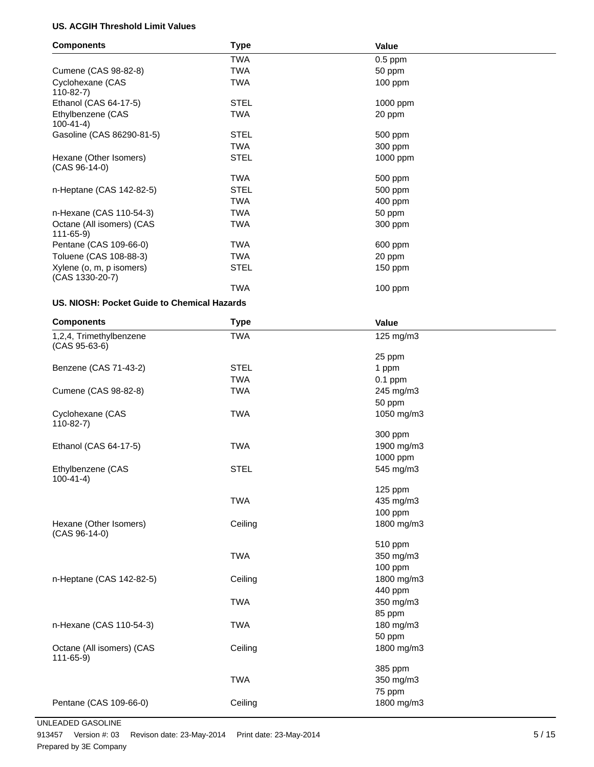#### **US. ACGIH Threshold Limit Values**

| <b>Components</b>                           | <b>Type</b> | Value      |  |  |
|---------------------------------------------|-------------|------------|--|--|
|                                             | <b>TWA</b>  | $0.5$ ppm  |  |  |
| Cumene (CAS 98-82-8)                        | <b>TWA</b>  | 50 ppm     |  |  |
| Cyclohexane (CAS<br>$110-82-7$              | <b>TWA</b>  | $100$ ppm  |  |  |
| Ethanol (CAS 64-17-5)                       | <b>STEL</b> | 1000 ppm   |  |  |
| Ethylbenzene (CAS<br>$100-41-4)$            | <b>TWA</b>  | 20 ppm     |  |  |
| Gasoline (CAS 86290-81-5)                   | <b>STEL</b> | 500 ppm    |  |  |
|                                             | <b>TWA</b>  | 300 ppm    |  |  |
| Hexane (Other Isomers)<br>$(CAS 96-14-0)$   | <b>STEL</b> | $1000$ ppm |  |  |
|                                             | <b>TWA</b>  | 500 ppm    |  |  |
| n-Heptane (CAS 142-82-5)                    | <b>STEL</b> | 500 ppm    |  |  |
|                                             | <b>TWA</b>  | 400 ppm    |  |  |
| n-Hexane (CAS 110-54-3)                     | <b>TWA</b>  | 50 ppm     |  |  |
| Octane (All isomers) (CAS<br>$111 - 65 - 9$ | <b>TWA</b>  | 300 ppm    |  |  |
| Pentane (CAS 109-66-0)                      | <b>TWA</b>  | 600 ppm    |  |  |
| Toluene (CAS 108-88-3)                      | <b>TWA</b>  | 20 ppm     |  |  |
| Xylene (o, m, p isomers)<br>(CAS 1330-20-7) | <b>STEL</b> | 150 ppm    |  |  |
|                                             | <b>TWA</b>  | $100$ ppm  |  |  |
|                                             |             |            |  |  |

#### **US. NIOSH: Pocket Guide to Chemical Hazards**

| <b>Components</b>                           | <b>Type</b> | Value      |  |
|---------------------------------------------|-------------|------------|--|
| 1,2,4, Trimethylbenzene<br>$(CAS 95-63-6)$  | <b>TWA</b>  | 125 mg/m3  |  |
|                                             |             | 25 ppm     |  |
| Benzene (CAS 71-43-2)                       | <b>STEL</b> | 1 ppm      |  |
|                                             | <b>TWA</b>  | $0.1$ ppm  |  |
| Cumene (CAS 98-82-8)                        | <b>TWA</b>  | 245 mg/m3  |  |
|                                             |             | 50 ppm     |  |
| Cyclohexane (CAS<br>$110-82-7$              | <b>TWA</b>  | 1050 mg/m3 |  |
|                                             |             | 300 ppm    |  |
| Ethanol (CAS 64-17-5)                       | <b>TWA</b>  | 1900 mg/m3 |  |
|                                             |             | 1000 ppm   |  |
| Ethylbenzene (CAS<br>$100 - 41 - 4$         | <b>STEL</b> | 545 mg/m3  |  |
|                                             |             | 125 ppm    |  |
|                                             | <b>TWA</b>  | 435 mg/m3  |  |
|                                             |             | 100 ppm    |  |
| Hexane (Other Isomers)<br>$(CAS 96-14-0)$   | Ceiling     | 1800 mg/m3 |  |
|                                             |             | 510 ppm    |  |
|                                             | <b>TWA</b>  | 350 mg/m3  |  |
|                                             |             | 100 ppm    |  |
| n-Heptane (CAS 142-82-5)                    | Ceiling     | 1800 mg/m3 |  |
|                                             |             | 440 ppm    |  |
|                                             | <b>TWA</b>  | 350 mg/m3  |  |
|                                             |             | 85 ppm     |  |
| n-Hexane (CAS 110-54-3)                     | <b>TWA</b>  | 180 mg/m3  |  |
|                                             |             | 50 ppm     |  |
| Octane (All isomers) (CAS<br>$111 - 65 - 9$ | Ceiling     | 1800 mg/m3 |  |
|                                             |             | 385 ppm    |  |
|                                             | <b>TWA</b>  | 350 mg/m3  |  |
|                                             |             | 75 ppm     |  |
| Pentane (CAS 109-66-0)                      | Ceiling     | 1800 mg/m3 |  |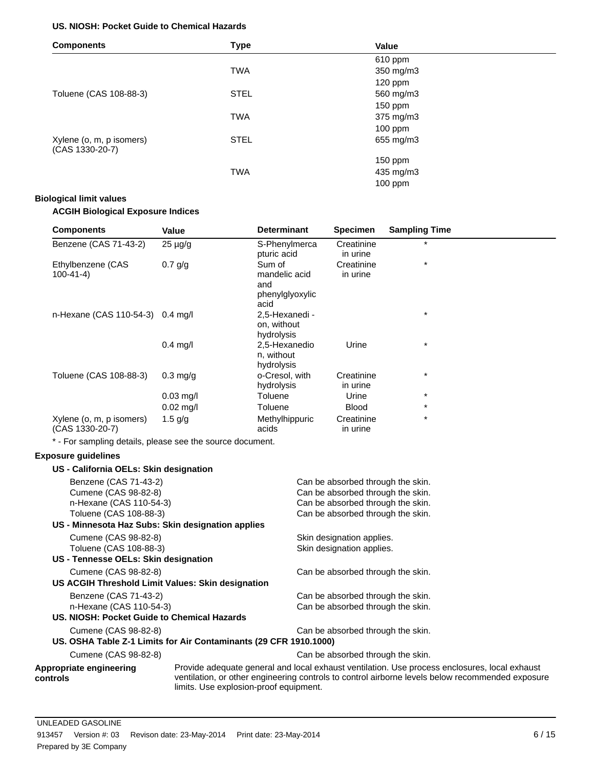#### **US. NIOSH: Pocket Guide to Chemical Hazards**

| <b>Components</b>                           | <b>Type</b> | Value     |  |
|---------------------------------------------|-------------|-----------|--|
|                                             |             | 610 ppm   |  |
|                                             | <b>TWA</b>  | 350 mg/m3 |  |
|                                             |             | $120$ ppm |  |
| Toluene (CAS 108-88-3)                      | <b>STEL</b> | 560 mg/m3 |  |
|                                             |             | 150 ppm   |  |
|                                             | <b>TWA</b>  | 375 mg/m3 |  |
|                                             |             | $100$ ppm |  |
| Xylene (o, m, p isomers)<br>(CAS 1330-20-7) | <b>STEL</b> | 655 mg/m3 |  |
|                                             |             | 150 ppm   |  |
|                                             | <b>TWA</b>  | 435 mg/m3 |  |
|                                             |             | $100$ ppm |  |

#### **Biological limit values**

#### **ACGIH Biological Exposure Indices**

| <b>Components</b>                           | Value               | <b>Determinant</b>                                        | <b>Specimen</b>        | <b>Sampling Time</b> |
|---------------------------------------------|---------------------|-----------------------------------------------------------|------------------------|----------------------|
| Benzene (CAS 71-43-2)                       | $25 \mu g/g$        | S-Phenylmerca<br>pturic acid                              | Creatinine<br>in urine | $\star$              |
| Ethylbenzene (CAS<br>$100 - 41 - 4$         | $0.7$ g/g           | Sum of<br>mandelic acid<br>and<br>phenylglyoxylic<br>acid | Creatinine<br>in urine | $\star$              |
| n-Hexane (CAS 110-54-3) 0.4 mg/l            |                     | 2,5-Hexanedi -<br>on, without<br>hydrolysis               |                        | $\star$              |
|                                             | $0.4$ mg/l          | 2,5-Hexanedio<br>n, without<br>hydrolysis                 | Urine                  | $\star$              |
| Toluene (CAS 108-88-3)                      | $0.3 \text{ mq/q}$  | o-Cresol, with<br>hydrolysis                              | Creatinine<br>in urine | $^\star$             |
|                                             | $0.03$ mg/l         | Toluene                                                   | Urine                  | $\star$              |
|                                             | $0.02 \text{ mg/l}$ | Toluene                                                   | <b>Blood</b>           | $\star$              |
| Xylene (o, m, p isomers)<br>(CAS 1330-20-7) | 1.5 $q/q$           | Methylhippuric<br>acids                                   | Creatinine<br>in urine | $\star$              |

\* - For sampling details, please see the source document.

#### **Exposure guidelines**

| US - California OELs: Skin designation            |                                                                                                                                                                                                                                             |
|---------------------------------------------------|---------------------------------------------------------------------------------------------------------------------------------------------------------------------------------------------------------------------------------------------|
| Benzene (CAS 71-43-2)                             | Can be absorbed through the skin.                                                                                                                                                                                                           |
| Cumene (CAS 98-82-8)                              | Can be absorbed through the skin.                                                                                                                                                                                                           |
| n-Hexane (CAS 110-54-3)                           | Can be absorbed through the skin.                                                                                                                                                                                                           |
| Toluene (CAS 108-88-3)                            | Can be absorbed through the skin.                                                                                                                                                                                                           |
| US - Minnesota Haz Subs: Skin designation applies |                                                                                                                                                                                                                                             |
| Cumene (CAS 98-82-8)                              | Skin designation applies.                                                                                                                                                                                                                   |
| Toluene (CAS 108-88-3)                            | Skin designation applies.                                                                                                                                                                                                                   |
| US - Tennesse OELs: Skin designation              |                                                                                                                                                                                                                                             |
| Cumene (CAS 98-82-8)                              | Can be absorbed through the skin.                                                                                                                                                                                                           |
| US ACGIH Threshold Limit Values: Skin designation |                                                                                                                                                                                                                                             |
| Benzene (CAS 71-43-2)                             | Can be absorbed through the skin.                                                                                                                                                                                                           |
| n-Hexane (CAS 110-54-3)                           | Can be absorbed through the skin.                                                                                                                                                                                                           |
| US. NIOSH: Pocket Guide to Chemical Hazards       |                                                                                                                                                                                                                                             |
| Cumene (CAS 98-82-8)                              | Can be absorbed through the skin.                                                                                                                                                                                                           |
|                                                   | US. OSHA Table Z-1 Limits for Air Contaminants (29 CFR 1910.1000)                                                                                                                                                                           |
| Cumene (CAS 98-82-8)                              | Can be absorbed through the skin.                                                                                                                                                                                                           |
| Appropriate engineering<br>controls               | Provide adequate general and local exhaust ventilation. Use process enclosures, local exhaust<br>ventilation, or other engineering controls to control airborne levels below recommended exposure<br>limits. Use explosion-proof equipment. |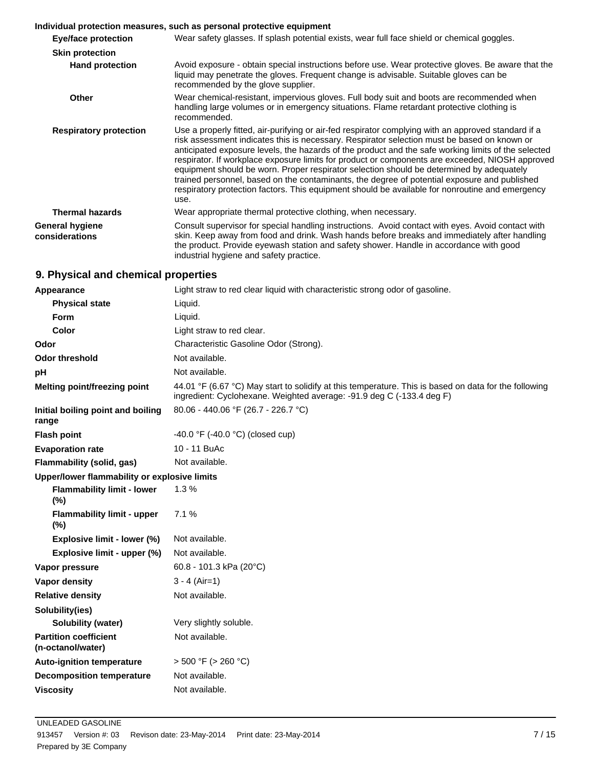#### **Individual protection measures, such as personal protective equipment**

| Eye/face protection               | Wear safety glasses. If splash potential exists, wear full face shield or chemical goggles.                                                                                                                                                                                                                                                                                                                                                                                                                                                                                                                                                                                                                         |
|-----------------------------------|---------------------------------------------------------------------------------------------------------------------------------------------------------------------------------------------------------------------------------------------------------------------------------------------------------------------------------------------------------------------------------------------------------------------------------------------------------------------------------------------------------------------------------------------------------------------------------------------------------------------------------------------------------------------------------------------------------------------|
| <b>Skin protection</b>            |                                                                                                                                                                                                                                                                                                                                                                                                                                                                                                                                                                                                                                                                                                                     |
| <b>Hand protection</b>            | Avoid exposure - obtain special instructions before use. Wear protective gloves. Be aware that the<br>liquid may penetrate the gloves. Frequent change is advisable. Suitable gloves can be<br>recommended by the glove supplier.                                                                                                                                                                                                                                                                                                                                                                                                                                                                                   |
| <b>Other</b>                      | Wear chemical-resistant, impervious gloves. Full body suit and boots are recommended when<br>handling large volumes or in emergency situations. Flame retardant protective clothing is<br>recommended.                                                                                                                                                                                                                                                                                                                                                                                                                                                                                                              |
| <b>Respiratory protection</b>     | Use a properly fitted, air-purifying or air-fed respirator complying with an approved standard if a<br>risk assessment indicates this is necessary. Respirator selection must be based on known or<br>anticipated exposure levels, the hazards of the product and the safe working limits of the selected<br>respirator. If workplace exposure limits for product or components are exceeded, NIOSH approved<br>equipment should be worn. Proper respirator selection should be determined by adequately<br>trained personnel, based on the contaminants, the degree of potential exposure and published<br>respiratory protection factors. This equipment should be available for nonroutine and emergency<br>use. |
| <b>Thermal hazards</b>            | Wear appropriate thermal protective clothing, when necessary.                                                                                                                                                                                                                                                                                                                                                                                                                                                                                                                                                                                                                                                       |
| General hygiene<br>considerations | Consult supervisor for special handling instructions. Avoid contact with eyes. Avoid contact with<br>skin. Keep away from food and drink. Wash hands before breaks and immediately after handling<br>the product. Provide eyewash station and safety shower. Handle in accordance with good<br>industrial hygiene and safety practice.                                                                                                                                                                                                                                                                                                                                                                              |

## **9. Physical and chemical properties**

| Appearance                                        | Light straw to red clear liquid with characteristic strong odor of gasoline.                                                                                                   |  |  |
|---------------------------------------------------|--------------------------------------------------------------------------------------------------------------------------------------------------------------------------------|--|--|
| <b>Physical state</b>                             | Liquid.                                                                                                                                                                        |  |  |
| Form                                              | Liquid.                                                                                                                                                                        |  |  |
| Color                                             | Light straw to red clear.                                                                                                                                                      |  |  |
| Odor                                              | Characteristic Gasoline Odor (Strong).                                                                                                                                         |  |  |
| <b>Odor threshold</b>                             | Not available.                                                                                                                                                                 |  |  |
| pH                                                | Not available.                                                                                                                                                                 |  |  |
| Melting point/freezing point                      | 44.01 °F (6.67 °C) May start to solidify at this temperature. This is based on data for the following<br>ingredient: Cyclohexane. Weighted average: -91.9 deg C (-133.4 deg F) |  |  |
| Initial boiling point and boiling<br>range        | 80.06 - 440.06 °F (26.7 - 226.7 °C)                                                                                                                                            |  |  |
| <b>Flash point</b>                                | $-40.0$ °F ( $-40.0$ °C) (closed cup)                                                                                                                                          |  |  |
| <b>Evaporation rate</b>                           | 10 - 11 BuAc                                                                                                                                                                   |  |  |
| Flammability (solid, gas)                         | Not available.                                                                                                                                                                 |  |  |
| Upper/lower flammability or explosive limits      |                                                                                                                                                                                |  |  |
| <b>Flammability limit - lower</b><br>(%)          | 1.3%                                                                                                                                                                           |  |  |
| <b>Flammability limit - upper</b><br>$(\%)$       | 7.1%                                                                                                                                                                           |  |  |
| Explosive limit - lower (%)                       | Not available.                                                                                                                                                                 |  |  |
| Explosive limit - upper (%)                       | Not available.                                                                                                                                                                 |  |  |
| Vapor pressure                                    | 60.8 - 101.3 kPa (20 $^{\circ}$ C)                                                                                                                                             |  |  |
| Vapor density                                     | $3 - 4$ (Air=1)                                                                                                                                                                |  |  |
| <b>Relative density</b>                           | Not available.                                                                                                                                                                 |  |  |
| Solubility(ies)                                   |                                                                                                                                                                                |  |  |
| Solubility (water)                                | Very slightly soluble.                                                                                                                                                         |  |  |
| <b>Partition coefficient</b><br>(n-octanol/water) | Not available.                                                                                                                                                                 |  |  |
| <b>Auto-ignition temperature</b>                  | $>$ 500 °F ( $>$ 260 °C)                                                                                                                                                       |  |  |
| <b>Decomposition temperature</b>                  | Not available.                                                                                                                                                                 |  |  |
| <b>Viscosity</b>                                  | Not available.                                                                                                                                                                 |  |  |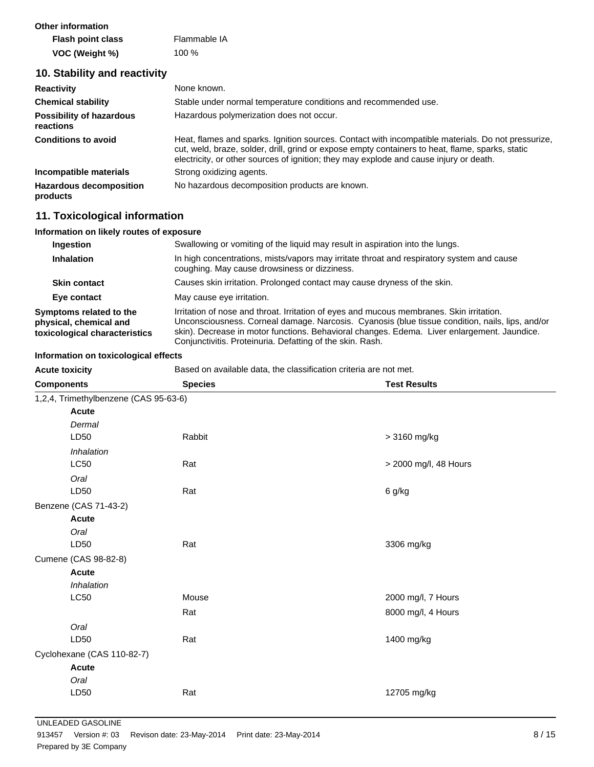| <b>Other information</b> |              |
|--------------------------|--------------|
| <b>Flash point class</b> | Flammable IA |
| VOC (Weight %)           | $100\%$      |

## **10. Stability and reactivity**

| <b>Reactivity</b>                            | None known.                                                                                                                                                                                                                                                                                      |
|----------------------------------------------|--------------------------------------------------------------------------------------------------------------------------------------------------------------------------------------------------------------------------------------------------------------------------------------------------|
| <b>Chemical stability</b>                    | Stable under normal temperature conditions and recommended use.                                                                                                                                                                                                                                  |
| <b>Possibility of hazardous</b><br>reactions | Hazardous polymerization does not occur.                                                                                                                                                                                                                                                         |
| <b>Conditions to avoid</b>                   | Heat, flames and sparks, Ignition sources. Contact with incompatible materials. Do not pressurize,<br>cut, weld, braze, solder, drill, grind or expose empty containers to heat, flame, sparks, static<br>electricity, or other sources of ignition; they may explode and cause injury or death. |
| Incompatible materials                       | Strong oxidizing agents.                                                                                                                                                                                                                                                                         |
| <b>Hazardous decomposition</b><br>products   | No hazardous decomposition products are known.                                                                                                                                                                                                                                                   |

## **11. Toxicological information**

#### **Information on likely routes of exposure**

| Ingestion                                                                          | Swallowing or vomiting of the liquid may result in aspiration into the lungs.                                                                                                                                                                                                                                                                           |  |  |
|------------------------------------------------------------------------------------|---------------------------------------------------------------------------------------------------------------------------------------------------------------------------------------------------------------------------------------------------------------------------------------------------------------------------------------------------------|--|--|
| <b>Inhalation</b>                                                                  | In high concentrations, mists/vapors may irritate throat and respiratory system and cause<br>coughing. May cause drowsiness or dizziness.                                                                                                                                                                                                               |  |  |
| <b>Skin contact</b>                                                                | Causes skin irritation. Prolonged contact may cause dryness of the skin.                                                                                                                                                                                                                                                                                |  |  |
| Eye contact                                                                        | May cause eye irritation.                                                                                                                                                                                                                                                                                                                               |  |  |
| Symptoms related to the<br>physical, chemical and<br>toxicological characteristics | Irritation of nose and throat. Irritation of eyes and mucous membranes. Skin irritation.<br>Unconsciousness. Corneal damage. Narcosis. Cyanosis (blue tissue condition, nails, lips, and/or<br>skin). Decrease in motor functions. Behavioral changes. Edema. Liver enlargement. Jaundice.<br>Conjunctivitis. Proteinuria. Defatting of the skin. Rash. |  |  |

#### **Information on toxicological effects**

Acute toxicity **Based on available data, the classification criteria are not met.** 

| <b>Components</b>                     | <b>Species</b> | <b>Test Results</b>   |  |  |
|---------------------------------------|----------------|-----------------------|--|--|
| 1,2,4, Trimethylbenzene (CAS 95-63-6) |                |                       |  |  |
| Acute                                 |                |                       |  |  |
| Dermal                                |                |                       |  |  |
| LD50                                  | Rabbit         | > 3160 mg/kg          |  |  |
| Inhalation                            |                |                       |  |  |
| LC50                                  | Rat            | > 2000 mg/l, 48 Hours |  |  |
| Oral                                  |                |                       |  |  |
| LD50                                  | Rat            | 6 g/kg                |  |  |
| Benzene (CAS 71-43-2)                 |                |                       |  |  |
| Acute                                 |                |                       |  |  |
| Oral                                  |                |                       |  |  |
| LD50                                  | Rat            | 3306 mg/kg            |  |  |
| Cumene (CAS 98-82-8)                  |                |                       |  |  |
| Acute                                 |                |                       |  |  |
| Inhalation                            |                |                       |  |  |
| LC50                                  | Mouse          | 2000 mg/l, 7 Hours    |  |  |
|                                       | Rat            | 8000 mg/l, 4 Hours    |  |  |
| Oral                                  |                |                       |  |  |
| LD50                                  | Rat            | 1400 mg/kg            |  |  |
| Cyclohexane (CAS 110-82-7)            |                |                       |  |  |
| <b>Acute</b>                          |                |                       |  |  |
| Oral                                  |                |                       |  |  |
| LD50                                  | Rat            | 12705 mg/kg           |  |  |
|                                       |                |                       |  |  |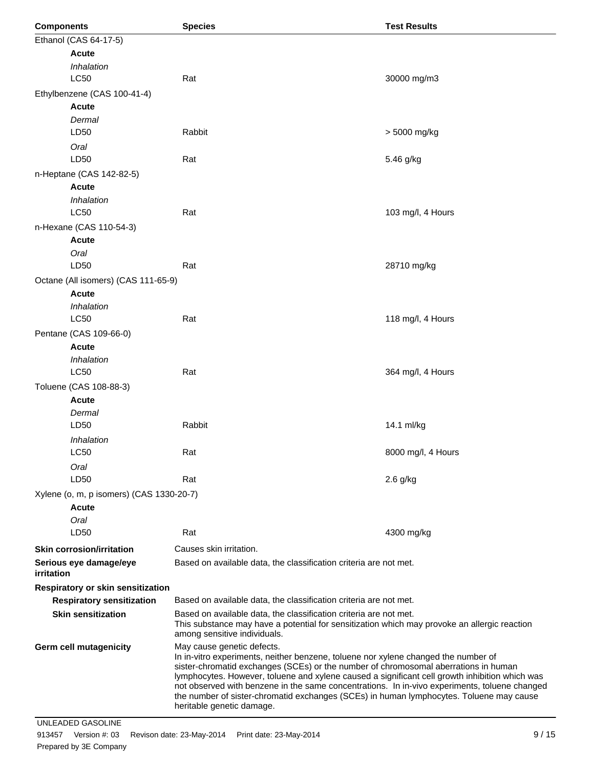| <b>Components</b> |                                          | <b>Species</b>                                                                                                                                                                                                                                                                                                                                                                                                                                                                                                                     | <b>Test Results</b>              |  |  |
|-------------------|------------------------------------------|------------------------------------------------------------------------------------------------------------------------------------------------------------------------------------------------------------------------------------------------------------------------------------------------------------------------------------------------------------------------------------------------------------------------------------------------------------------------------------------------------------------------------------|----------------------------------|--|--|
|                   | Ethanol (CAS 64-17-5)                    |                                                                                                                                                                                                                                                                                                                                                                                                                                                                                                                                    |                                  |  |  |
|                   | <b>Acute</b>                             |                                                                                                                                                                                                                                                                                                                                                                                                                                                                                                                                    |                                  |  |  |
|                   | Inhalation                               |                                                                                                                                                                                                                                                                                                                                                                                                                                                                                                                                    |                                  |  |  |
|                   | LC50                                     | Rat                                                                                                                                                                                                                                                                                                                                                                                                                                                                                                                                | 30000 mg/m3                      |  |  |
|                   | Ethylbenzene (CAS 100-41-4)              |                                                                                                                                                                                                                                                                                                                                                                                                                                                                                                                                    |                                  |  |  |
|                   | <b>Acute</b>                             |                                                                                                                                                                                                                                                                                                                                                                                                                                                                                                                                    |                                  |  |  |
|                   | Dermal                                   |                                                                                                                                                                                                                                                                                                                                                                                                                                                                                                                                    |                                  |  |  |
|                   | LD50                                     | Rabbit                                                                                                                                                                                                                                                                                                                                                                                                                                                                                                                             | > 5000 mg/kg                     |  |  |
|                   | Oral                                     |                                                                                                                                                                                                                                                                                                                                                                                                                                                                                                                                    |                                  |  |  |
|                   | LD50                                     | Rat                                                                                                                                                                                                                                                                                                                                                                                                                                                                                                                                | 5.46 g/kg                        |  |  |
|                   | n-Heptane (CAS 142-82-5)                 |                                                                                                                                                                                                                                                                                                                                                                                                                                                                                                                                    |                                  |  |  |
|                   | <b>Acute</b>                             |                                                                                                                                                                                                                                                                                                                                                                                                                                                                                                                                    |                                  |  |  |
|                   | Inhalation                               |                                                                                                                                                                                                                                                                                                                                                                                                                                                                                                                                    |                                  |  |  |
|                   | <b>LC50</b>                              | Rat                                                                                                                                                                                                                                                                                                                                                                                                                                                                                                                                | 103 mg/l, 4 Hours                |  |  |
|                   | n-Hexane (CAS 110-54-3)                  |                                                                                                                                                                                                                                                                                                                                                                                                                                                                                                                                    |                                  |  |  |
|                   | <b>Acute</b>                             |                                                                                                                                                                                                                                                                                                                                                                                                                                                                                                                                    |                                  |  |  |
|                   | Oral<br>LD50                             | Rat                                                                                                                                                                                                                                                                                                                                                                                                                                                                                                                                | 28710 mg/kg                      |  |  |
|                   |                                          |                                                                                                                                                                                                                                                                                                                                                                                                                                                                                                                                    |                                  |  |  |
|                   | Octane (All isomers) (CAS 111-65-9)      |                                                                                                                                                                                                                                                                                                                                                                                                                                                                                                                                    |                                  |  |  |
|                   | <b>Acute</b><br>Inhalation               |                                                                                                                                                                                                                                                                                                                                                                                                                                                                                                                                    |                                  |  |  |
|                   | LC50                                     | Rat                                                                                                                                                                                                                                                                                                                                                                                                                                                                                                                                | 118 mg/l, 4 Hours                |  |  |
|                   | Pentane (CAS 109-66-0)                   |                                                                                                                                                                                                                                                                                                                                                                                                                                                                                                                                    |                                  |  |  |
|                   | <b>Acute</b>                             |                                                                                                                                                                                                                                                                                                                                                                                                                                                                                                                                    |                                  |  |  |
|                   | Inhalation                               |                                                                                                                                                                                                                                                                                                                                                                                                                                                                                                                                    |                                  |  |  |
|                   | <b>LC50</b>                              | Rat                                                                                                                                                                                                                                                                                                                                                                                                                                                                                                                                | 364 mg/l, 4 Hours                |  |  |
|                   | Toluene (CAS 108-88-3)                   |                                                                                                                                                                                                                                                                                                                                                                                                                                                                                                                                    |                                  |  |  |
|                   | <b>Acute</b>                             |                                                                                                                                                                                                                                                                                                                                                                                                                                                                                                                                    |                                  |  |  |
|                   | Dermal                                   |                                                                                                                                                                                                                                                                                                                                                                                                                                                                                                                                    |                                  |  |  |
|                   | LD50                                     | Rabbit                                                                                                                                                                                                                                                                                                                                                                                                                                                                                                                             | 14.1 ml/kg                       |  |  |
|                   | Inhalation                               |                                                                                                                                                                                                                                                                                                                                                                                                                                                                                                                                    | 8000 mg/l, 4 Hours<br>$2.6$ g/kg |  |  |
|                   | LC50                                     | Rat                                                                                                                                                                                                                                                                                                                                                                                                                                                                                                                                |                                  |  |  |
|                   | Oral                                     |                                                                                                                                                                                                                                                                                                                                                                                                                                                                                                                                    |                                  |  |  |
|                   | LD50                                     | Rat                                                                                                                                                                                                                                                                                                                                                                                                                                                                                                                                |                                  |  |  |
|                   | Xylene (o, m, p isomers) (CAS 1330-20-7) |                                                                                                                                                                                                                                                                                                                                                                                                                                                                                                                                    |                                  |  |  |
|                   | Acute                                    |                                                                                                                                                                                                                                                                                                                                                                                                                                                                                                                                    |                                  |  |  |
|                   | Oral                                     |                                                                                                                                                                                                                                                                                                                                                                                                                                                                                                                                    |                                  |  |  |
|                   | LD50                                     | Rat                                                                                                                                                                                                                                                                                                                                                                                                                                                                                                                                | 4300 mg/kg                       |  |  |
|                   | <b>Skin corrosion/irritation</b>         | Causes skin irritation.                                                                                                                                                                                                                                                                                                                                                                                                                                                                                                            |                                  |  |  |
|                   | Serious eye damage/eye                   | Based on available data, the classification criteria are not met.                                                                                                                                                                                                                                                                                                                                                                                                                                                                  |                                  |  |  |
| irritation        |                                          |                                                                                                                                                                                                                                                                                                                                                                                                                                                                                                                                    |                                  |  |  |
|                   | Respiratory or skin sensitization        |                                                                                                                                                                                                                                                                                                                                                                                                                                                                                                                                    |                                  |  |  |
|                   | <b>Respiratory sensitization</b>         | Based on available data, the classification criteria are not met.                                                                                                                                                                                                                                                                                                                                                                                                                                                                  |                                  |  |  |
|                   | <b>Skin sensitization</b>                | Based on available data, the classification criteria are not met.<br>This substance may have a potential for sensitization which may provoke an allergic reaction<br>among sensitive individuals.                                                                                                                                                                                                                                                                                                                                  |                                  |  |  |
|                   | Germ cell mutagenicity                   | May cause genetic defects.<br>In in-vitro experiments, neither benzene, toluene nor xylene changed the number of<br>sister-chromatid exchanges (SCEs) or the number of chromosomal aberrations in human<br>lymphocytes. However, toluene and xylene caused a significant cell growth inhibition which was<br>not observed with benzene in the same concentrations. In in-vivo experiments, toluene changed<br>the number of sister-chromatid exchanges (SCEs) in human lymphocytes. Toluene may cause<br>heritable genetic damage. |                                  |  |  |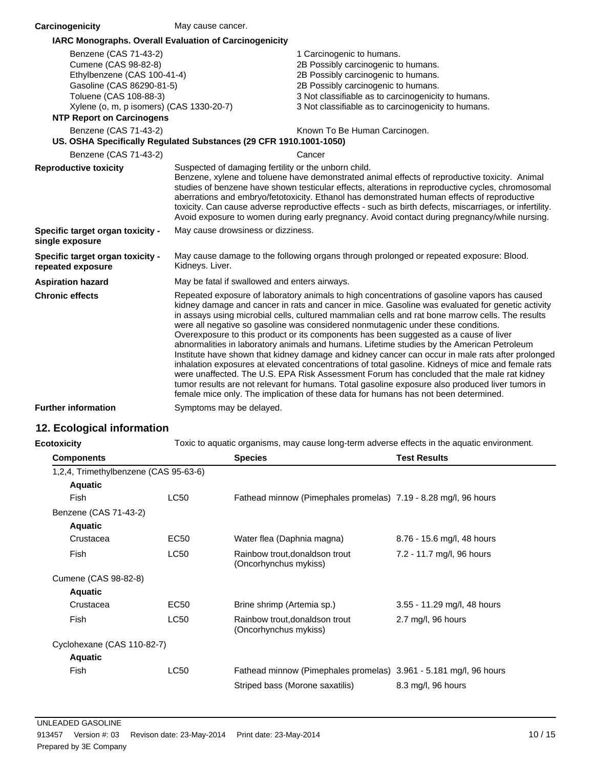| Carcinogenicity                                                    | May cause cancer.                                                                                                                                                                                                                                                                                                                                                                                                                                                                                                                                                                                                                                                                                                                                                                                                                                                                                                                                                                                                                                                                   |                                                     |  |
|--------------------------------------------------------------------|-------------------------------------------------------------------------------------------------------------------------------------------------------------------------------------------------------------------------------------------------------------------------------------------------------------------------------------------------------------------------------------------------------------------------------------------------------------------------------------------------------------------------------------------------------------------------------------------------------------------------------------------------------------------------------------------------------------------------------------------------------------------------------------------------------------------------------------------------------------------------------------------------------------------------------------------------------------------------------------------------------------------------------------------------------------------------------------|-----------------------------------------------------|--|
| <b>IARC Monographs. Overall Evaluation of Carcinogenicity</b>      |                                                                                                                                                                                                                                                                                                                                                                                                                                                                                                                                                                                                                                                                                                                                                                                                                                                                                                                                                                                                                                                                                     |                                                     |  |
| Benzene (CAS 71-43-2)                                              |                                                                                                                                                                                                                                                                                                                                                                                                                                                                                                                                                                                                                                                                                                                                                                                                                                                                                                                                                                                                                                                                                     | 1 Carcinogenic to humans.                           |  |
| Cumene (CAS 98-82-8)                                               |                                                                                                                                                                                                                                                                                                                                                                                                                                                                                                                                                                                                                                                                                                                                                                                                                                                                                                                                                                                                                                                                                     | 2B Possibly carcinogenic to humans.                 |  |
| Ethylbenzene (CAS 100-41-4)                                        |                                                                                                                                                                                                                                                                                                                                                                                                                                                                                                                                                                                                                                                                                                                                                                                                                                                                                                                                                                                                                                                                                     | 2B Possibly carcinogenic to humans.                 |  |
| Gasoline (CAS 86290-81-5)                                          |                                                                                                                                                                                                                                                                                                                                                                                                                                                                                                                                                                                                                                                                                                                                                                                                                                                                                                                                                                                                                                                                                     | 2B Possibly carcinogenic to humans.                 |  |
| Toluene (CAS 108-88-3)                                             |                                                                                                                                                                                                                                                                                                                                                                                                                                                                                                                                                                                                                                                                                                                                                                                                                                                                                                                                                                                                                                                                                     | 3 Not classifiable as to carcinogenicity to humans. |  |
| Xylene (o, m, p isomers) (CAS 1330-20-7)                           |                                                                                                                                                                                                                                                                                                                                                                                                                                                                                                                                                                                                                                                                                                                                                                                                                                                                                                                                                                                                                                                                                     | 3 Not classifiable as to carcinogenicity to humans. |  |
| <b>NTP Report on Carcinogens</b>                                   |                                                                                                                                                                                                                                                                                                                                                                                                                                                                                                                                                                                                                                                                                                                                                                                                                                                                                                                                                                                                                                                                                     |                                                     |  |
| Benzene (CAS 71-43-2)                                              |                                                                                                                                                                                                                                                                                                                                                                                                                                                                                                                                                                                                                                                                                                                                                                                                                                                                                                                                                                                                                                                                                     | Known To Be Human Carcinogen.                       |  |
| US. OSHA Specifically Regulated Substances (29 CFR 1910.1001-1050) |                                                                                                                                                                                                                                                                                                                                                                                                                                                                                                                                                                                                                                                                                                                                                                                                                                                                                                                                                                                                                                                                                     |                                                     |  |
| Benzene (CAS 71-43-2)                                              |                                                                                                                                                                                                                                                                                                                                                                                                                                                                                                                                                                                                                                                                                                                                                                                                                                                                                                                                                                                                                                                                                     | Cancer                                              |  |
| <b>Reproductive toxicity</b>                                       | Suspected of damaging fertility or the unborn child.<br>Benzene, xylene and toluene have demonstrated animal effects of reproductive toxicity. Animal<br>studies of benzene have shown testicular effects, alterations in reproductive cycles, chromosomal<br>aberrations and embryo/fetotoxicity. Ethanol has demonstrated human effects of reproductive<br>toxicity. Can cause adverse reproductive effects - such as birth defects, miscarriages, or infertility.<br>Avoid exposure to women during early pregnancy. Avoid contact during pregnancy/while nursing.                                                                                                                                                                                                                                                                                                                                                                                                                                                                                                               |                                                     |  |
| Specific target organ toxicity -<br>single exposure                | May cause drowsiness or dizziness.                                                                                                                                                                                                                                                                                                                                                                                                                                                                                                                                                                                                                                                                                                                                                                                                                                                                                                                                                                                                                                                  |                                                     |  |
| Specific target organ toxicity -<br>repeated exposure              | May cause damage to the following organs through prolonged or repeated exposure: Blood.<br>Kidneys. Liver.                                                                                                                                                                                                                                                                                                                                                                                                                                                                                                                                                                                                                                                                                                                                                                                                                                                                                                                                                                          |                                                     |  |
| <b>Aspiration hazard</b>                                           | May be fatal if swallowed and enters airways.                                                                                                                                                                                                                                                                                                                                                                                                                                                                                                                                                                                                                                                                                                                                                                                                                                                                                                                                                                                                                                       |                                                     |  |
| <b>Chronic effects</b>                                             | Repeated exposure of laboratory animals to high concentrations of gasoline vapors has caused<br>kidney damage and cancer in rats and cancer in mice. Gasoline was evaluated for genetic activity<br>in assays using microbial cells, cultured mammalian cells and rat bone marrow cells. The results<br>were all negative so gasoline was considered nonmutagenic under these conditions.<br>Overexposure to this product or its components has been suggested as a cause of liver<br>abnormalities in laboratory animals and humans. Lifetime studies by the American Petroleum<br>Institute have shown that kidney damage and kidney cancer can occur in male rats after prolonged<br>inhalation exposures at elevated concentrations of total gasoline. Kidneys of mice and female rats<br>were unaffected. The U.S. EPA Risk Assessment Forum has concluded that the male rat kidney<br>tumor results are not relevant for humans. Total gasoline exposure also produced liver tumors in<br>female mice only. The implication of these data for humans has not been determined. |                                                     |  |
| <b>Further information</b>                                         | Symptoms may be delayed.                                                                                                                                                                                                                                                                                                                                                                                                                                                                                                                                                                                                                                                                                                                                                                                                                                                                                                                                                                                                                                                            |                                                     |  |

# **12. Ecological information**

| Toxic to aquatic organisms, may cause long-term adverse effects in the aquatic environment.<br>cotoxicity |             |                                                                   |                             |
|-----------------------------------------------------------------------------------------------------------|-------------|-------------------------------------------------------------------|-----------------------------|
| <b>Components</b>                                                                                         |             | <b>Species</b>                                                    | <b>Test Results</b>         |
| 1,2,4, Trimethylbenzene (CAS 95-63-6)                                                                     |             |                                                                   |                             |
| <b>Aquatic</b>                                                                                            |             |                                                                   |                             |
| Fish                                                                                                      | LC50        | Fathead minnow (Pimephales promelas) 7.19 - 8.28 mg/l, 96 hours   |                             |
| Benzene (CAS 71-43-2)                                                                                     |             |                                                                   |                             |
| <b>Aquatic</b>                                                                                            |             |                                                                   |                             |
| Crustacea                                                                                                 | EC50        | Water flea (Daphnia magna)                                        | 8.76 - 15.6 mg/l, 48 hours  |
| <b>Fish</b>                                                                                               | <b>LC50</b> | Rainbow trout, donaldson trout<br>(Oncorhynchus mykiss)           | 7.2 - 11.7 mg/l, 96 hours   |
| Cumene (CAS 98-82-8)                                                                                      |             |                                                                   |                             |
| <b>Aquatic</b>                                                                                            |             |                                                                   |                             |
| Crustacea                                                                                                 | EC50        | Brine shrimp (Artemia sp.)                                        | 3.55 - 11.29 mg/l, 48 hours |
| Fish                                                                                                      | <b>LC50</b> | Rainbow trout, donaldson trout<br>(Oncorhynchus mykiss)           | 2.7 mg/l, 96 hours          |
| Cyclohexane (CAS 110-82-7)                                                                                |             |                                                                   |                             |
| <b>Aquatic</b>                                                                                            |             |                                                                   |                             |
| Fish                                                                                                      | LC50        | Fathead minnow (Pimephales promelas) 3.961 - 5.181 mg/l, 96 hours |                             |
|                                                                                                           |             | Striped bass (Morone saxatilis)                                   | 8.3 mg/l, 96 hours          |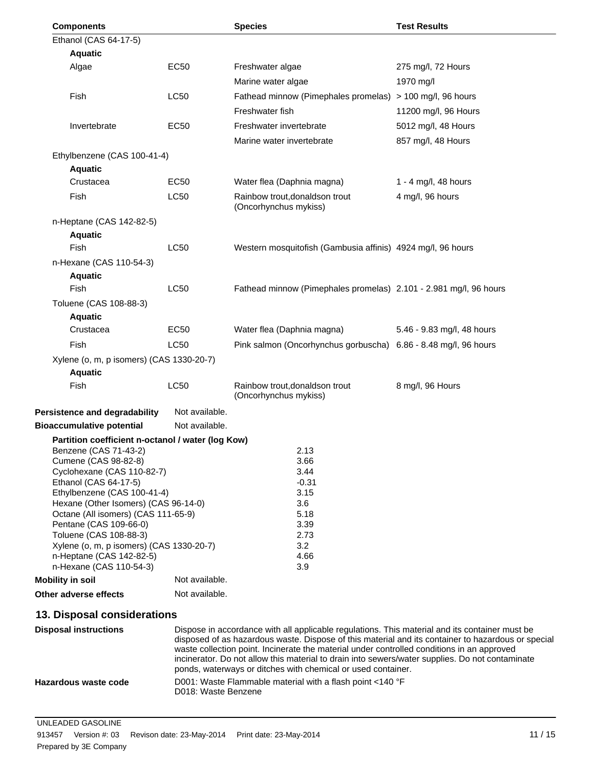| <b>Components</b>                                                    |                | <b>Species</b>                                                    | <b>Test Results</b>        |
|----------------------------------------------------------------------|----------------|-------------------------------------------------------------------|----------------------------|
| Ethanol (CAS 64-17-5)                                                |                |                                                                   |                            |
| <b>Aquatic</b>                                                       |                |                                                                   |                            |
| Algae                                                                | EC50           | Freshwater algae                                                  | 275 mg/l, 72 Hours         |
|                                                                      |                | Marine water algae                                                | 1970 mg/l                  |
| Fish                                                                 | <b>LC50</b>    | Fathead minnow (Pimephales promelas) > 100 mg/l, 96 hours         |                            |
|                                                                      |                | Freshwater fish                                                   | 11200 mg/l, 96 Hours       |
| Invertebrate                                                         | <b>EC50</b>    | Freshwater invertebrate                                           | 5012 mg/l, 48 Hours        |
|                                                                      |                | Marine water invertebrate                                         | 857 mg/l, 48 Hours         |
| Ethylbenzene (CAS 100-41-4)                                          |                |                                                                   |                            |
| <b>Aquatic</b>                                                       |                |                                                                   |                            |
| Crustacea                                                            | EC50           | Water flea (Daphnia magna)                                        | 1 - 4 mg/l, 48 hours       |
| Fish                                                                 | <b>LC50</b>    | Rainbow trout, donaldson trout<br>(Oncorhynchus mykiss)           | 4 mg/l, 96 hours           |
| n-Heptane (CAS 142-82-5)                                             |                |                                                                   |                            |
| <b>Aquatic</b>                                                       |                |                                                                   |                            |
| Fish                                                                 | <b>LC50</b>    | Western mosquitofish (Gambusia affinis) 4924 mg/l, 96 hours       |                            |
| n-Hexane (CAS 110-54-3)                                              |                |                                                                   |                            |
| <b>Aquatic</b>                                                       |                |                                                                   |                            |
| Fish                                                                 | <b>LC50</b>    | Fathead minnow (Pimephales promelas) 2.101 - 2.981 mg/l, 96 hours |                            |
| Toluene (CAS 108-88-3)                                               |                |                                                                   |                            |
| <b>Aquatic</b>                                                       |                |                                                                   |                            |
| Crustacea                                                            | EC50           | Water flea (Daphnia magna)                                        | 5.46 - 9.83 mg/l, 48 hours |
| Fish                                                                 | <b>LC50</b>    | Pink salmon (Oncorhynchus gorbuscha) 6.86 - 8.48 mg/l, 96 hours   |                            |
| Xylene (o, m, p isomers) (CAS 1330-20-7)                             |                |                                                                   |                            |
| <b>Aquatic</b><br>Fish                                               | <b>LC50</b>    | Rainbow trout, donaldson trout                                    |                            |
|                                                                      |                | (Oncorhynchus mykiss)                                             | 8 mg/l, 96 Hours           |
| Persistence and degradability                                        | Not available. |                                                                   |                            |
| <b>Bioaccumulative potential</b>                                     | Not available. |                                                                   |                            |
| Partition coefficient n-octanol / water (log Kow)                    |                |                                                                   |                            |
| Benzene (CAS 71-43-2)                                                |                | 2.13                                                              |                            |
| Cumene (CAS 98-82-8)                                                 |                | 3.66                                                              |                            |
| Cyclohexane (CAS 110-82-7)                                           |                | 3.44<br>$-0.31$                                                   |                            |
| Ethanol (CAS 64-17-5)<br>Ethylbenzene (CAS 100-41-4)                 |                | 3.15                                                              |                            |
| Hexane (Other Isomers) (CAS 96-14-0)                                 |                | 3.6                                                               |                            |
| Octane (All isomers) (CAS 111-65-9)                                  |                | 5.18                                                              |                            |
| Pentane (CAS 109-66-0)                                               |                | 3.39                                                              |                            |
| Toluene (CAS 108-88-3)                                               |                | 2.73<br>3.2                                                       |                            |
| Xylene (o, m, p isomers) (CAS 1330-20-7)<br>n-Heptane (CAS 142-82-5) |                | 4.66                                                              |                            |
| n-Hexane (CAS 110-54-3)                                              |                | 3.9                                                               |                            |
| Mobility in soil                                                     | Not available. |                                                                   |                            |
| Other adverse effects                                                | Not available. |                                                                   |                            |
| 13. Disposal considerations                                          |                |                                                                   |                            |

| <b>Disposal instructions</b> | Dispose in accordance with all applicable regulations. This material and its container must be<br>disposed of as hazardous waste. Dispose of this material and its container to hazardous or special<br>waste collection point. Incinerate the material under controlled conditions in an approved<br>incinerator. Do not allow this material to drain into sewers/water supplies. Do not contaminate<br>ponds, waterways or ditches with chemical or used container. |
|------------------------------|-----------------------------------------------------------------------------------------------------------------------------------------------------------------------------------------------------------------------------------------------------------------------------------------------------------------------------------------------------------------------------------------------------------------------------------------------------------------------|
| Hazardous waste code         | D001: Waste Flammable material with a flash point $<$ 140 °F<br>D018: Waste Benzene                                                                                                                                                                                                                                                                                                                                                                                   |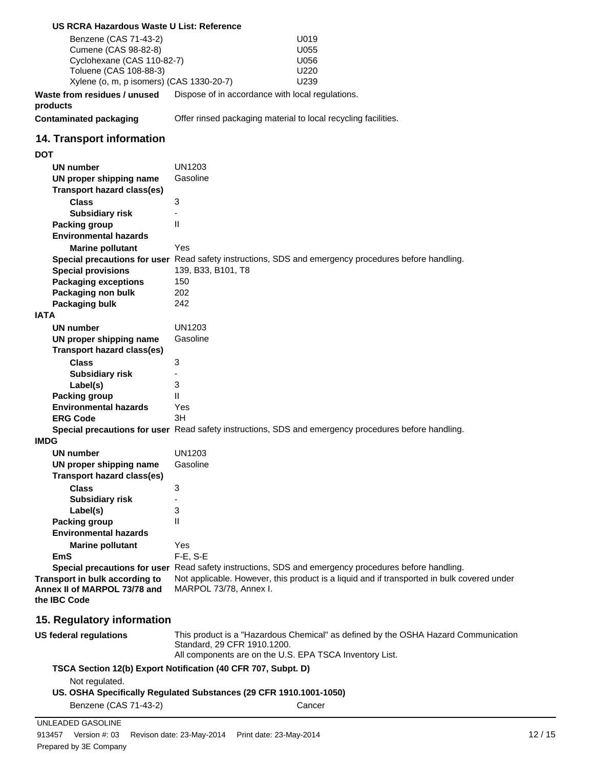| US RCRA Hazardous Waste U List: Reference            |                                                                                                      |
|------------------------------------------------------|------------------------------------------------------------------------------------------------------|
| Benzene (CAS 71-43-2)                                | U019                                                                                                 |
| Cumene (CAS 98-82-8)                                 | U055                                                                                                 |
| Cyclohexane (CAS 110-82-7)                           | U056                                                                                                 |
| Toluene (CAS 108-88-3)                               | U220                                                                                                 |
| Xylene (o, m, p isomers) (CAS 1330-20-7)             | U239                                                                                                 |
| Waste from residues / unused<br>products             | Dispose of in accordance with local regulations.                                                     |
| <b>Contaminated packaging</b>                        | Offer rinsed packaging material to local recycling facilities.                                       |
| 14. Transport information                            |                                                                                                      |
| <b>DOT</b>                                           |                                                                                                      |
| <b>UN number</b>                                     | <b>UN1203</b>                                                                                        |
| UN proper shipping name                              | Gasoline                                                                                             |
| <b>Transport hazard class(es)</b>                    |                                                                                                      |
| <b>Class</b>                                         | 3                                                                                                    |
| <b>Subsidiary risk</b>                               | $\overline{\phantom{a}}$                                                                             |
| <b>Packing group</b>                                 | Ш                                                                                                    |
| <b>Environmental hazards</b>                         |                                                                                                      |
| <b>Marine pollutant</b>                              | Yes                                                                                                  |
|                                                      | Special precautions for user Read safety instructions, SDS and emergency procedures before handling. |
| <b>Special provisions</b>                            | 139, B33, B101, T8                                                                                   |
| <b>Packaging exceptions</b>                          | 150                                                                                                  |
| Packaging non bulk                                   | 202<br>242                                                                                           |
| Packaging bulk<br><b>IATA</b>                        |                                                                                                      |
| UN number                                            | <b>UN1203</b>                                                                                        |
| UN proper shipping name                              | Gasoline                                                                                             |
| <b>Transport hazard class(es)</b>                    |                                                                                                      |
| <b>Class</b>                                         | 3                                                                                                    |
| <b>Subsidiary risk</b>                               |                                                                                                      |
| Label(s)                                             | 3                                                                                                    |
| <b>Packing group</b>                                 | $\mathsf{II}$                                                                                        |
| <b>Environmental hazards</b>                         | Yes                                                                                                  |
| <b>ERG Code</b>                                      | 3H                                                                                                   |
|                                                      | Special precautions for user Read safety instructions, SDS and emergency procedures before handling. |
| <b>IMDG</b>                                          |                                                                                                      |
| <b>UN number</b>                                     | <b>UN1203</b>                                                                                        |
| UN proper shipping name                              | Gasoline                                                                                             |
| <b>Transport hazard class(es)</b>                    |                                                                                                      |
| <b>Class</b>                                         | 3                                                                                                    |
| <b>Subsidiary risk</b>                               |                                                                                                      |
| Label(s)                                             | 3                                                                                                    |
| <b>Packing group</b><br><b>Environmental hazards</b> | $\mathsf{I}$                                                                                         |
|                                                      |                                                                                                      |
| <b>Marine pollutant</b><br><b>EmS</b>                | Yes<br>F-E, S-E                                                                                      |
|                                                      | Special precautions for user Read safety instructions, SDS and emergency procedures before handling. |
| Transport in bulk according to                       | Not applicable. However, this product is a liquid and if transported in bulk covered under           |
| Annex II of MARPOL 73/78 and                         | MARPOL 73/78, Annex I.                                                                               |
| the IBC Code                                         |                                                                                                      |
| 15. Regulatory information                           |                                                                                                      |
| <b>US federal regulations</b>                        | This product is a "Hazardous Chemical" as defined by the OSHA Hazard Communication                   |
|                                                      | Standard, 29 CFR 1910.1200.                                                                          |
|                                                      | All components are on the U.S. EPA TSCA Inventory List.                                              |
|                                                      | TSCA Section 12(b) Export Notification (40 CFR 707, Subpt. D)                                        |
| Not regulated.                                       |                                                                                                      |
|                                                      | US. OSHA Specifically Regulated Substances (29 CFR 1910.1001-1050)                                   |
| Benzene (CAS 71-43-2)                                | Cancer                                                                                               |
| UNLEADED GASOLINE                                    |                                                                                                      |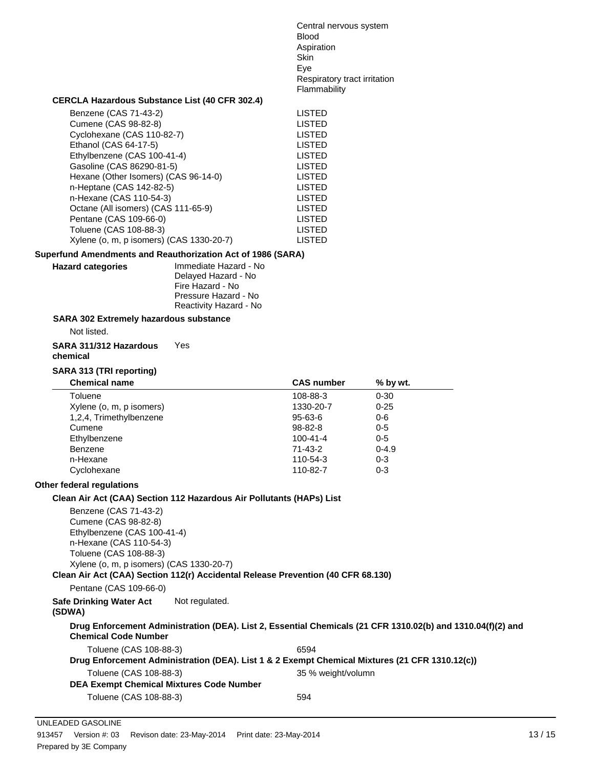Central nervous system Blood Aspiration Skin Eye Respiratory tract irritation Flammability

#### **CERCLA Hazardous Substance List (40 CFR 302.4)**

| Benzene (CAS 71-43-2)                    | LISTED |
|------------------------------------------|--------|
| Cumene (CAS 98-82-8)                     | LISTED |
| Cyclohexane (CAS 110-82-7)               | LISTED |
| Ethanol (CAS 64-17-5)                    | LISTED |
| Ethylbenzene (CAS 100-41-4)              | LISTED |
| Gasoline (CAS 86290-81-5)                | LISTED |
| Hexane (Other Isomers) (CAS 96-14-0)     | LISTED |
| n-Heptane (CAS 142-82-5)                 | LISTED |
| n-Hexane (CAS 110-54-3)                  | LISTED |
| Octane (All isomers) (CAS 111-65-9)      | LISTED |
| Pentane (CAS 109-66-0)                   | LISTED |
| Toluene (CAS 108-88-3)                   | LISTED |
| Xylene (o, m, p isomers) (CAS 1330-20-7) | LISTED |
|                                          |        |

#### **Superfund Amendments and Reauthorization Act of 1986 (SARA)**

**Hazard categories** Immediate Hazard - No Delayed Hazard - No

Fire Hazard - No Pressure Hazard - No Reactivity Hazard - No

#### **SARA 302 Extremely hazardous substance**

Not listed.

**SARA 311/312 Hazardous** Yes

**chemical**

#### **SARA 313 (TRI reporting)**

| <b>CAS number</b> | $%$ by wt. |  |
|-------------------|------------|--|
| 108-88-3          | $0 - 30$   |  |
| 1330-20-7         | $0 - 25$   |  |
| $95 - 63 - 6$     | $0 - 6$    |  |
| 98-82-8           | $0 - 5$    |  |
| $100 - 41 - 4$    | $0 - 5$    |  |
| 71-43-2           | $0 - 4.9$  |  |
| 110-54-3          | $0 - 3$    |  |
| 110-82-7          | $0 - 3$    |  |
|                   |            |  |

#### **Other federal regulations**

#### **Clean Air Act (CAA) Section 112 Hazardous Air Pollutants (HAPs) List**

Benzene (CAS 71-43-2) Cumene (CAS 98-82-8) Ethylbenzene (CAS 100-41-4) n-Hexane (CAS 110-54-3) Toluene (CAS 108-88-3) Xylene (o, m, p isomers) (CAS 1330-20-7)

**Clean Air Act (CAA) Section 112(r) Accidental Release Prevention (40 CFR 68.130)**

Pentane (CAS 109-66-0)

**Safe Drinking Water Act** Not regulated.

#### **(SDWA)**

#### **Drug Enforcement Administration (DEA). List 2, Essential Chemicals (21 CFR 1310.02(b) and 1310.04(f)(2) and Chemical Code Number**

| Toluene (CAS 108-88-3)                                                                         | 6594               |
|------------------------------------------------------------------------------------------------|--------------------|
| Drug Enforcement Administration (DEA). List 1 & 2 Exempt Chemical Mixtures (21 CFR 1310.12(c)) |                    |
| Toluene (CAS 108-88-3)                                                                         | 35 % weight/volumn |
| <b>DEA Exempt Chemical Mixtures Code Number</b>                                                |                    |
| Toluene (CAS 108-88-3)                                                                         | 594                |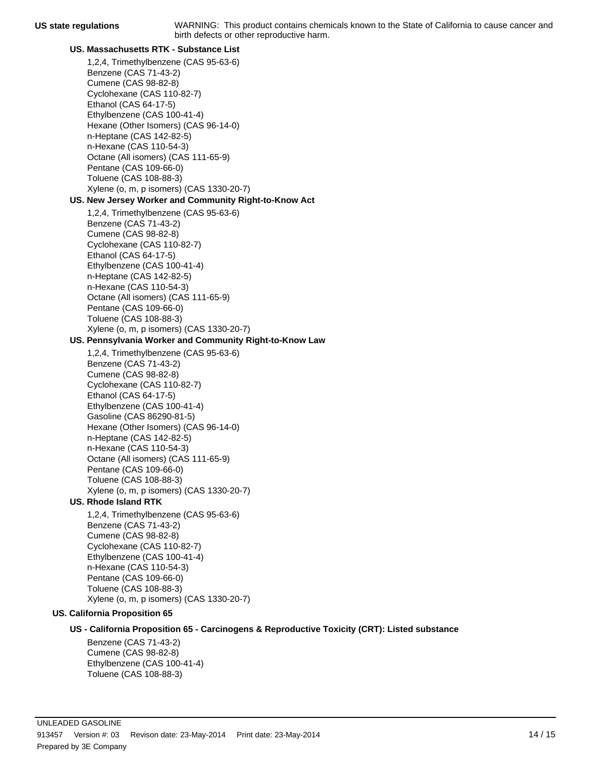#### **US. Massachusetts RTK - Substance List**

- 1,2,4, Trimethylbenzene (CAS 95-63-6) Benzene (CAS 71-43-2) Cumene (CAS 98-82-8) Cyclohexane (CAS 110-82-7) Ethanol (CAS 64-17-5) Ethylbenzene (CAS 100-41-4) Hexane (Other Isomers) (CAS 96-14-0) n-Heptane (CAS 142-82-5) n-Hexane (CAS 110-54-3) Octane (All isomers) (CAS 111-65-9) Pentane (CAS 109-66-0) Toluene (CAS 108-88-3) Xylene (o, m, p isomers) (CAS 1330-20-7) **US. New Jersey Worker and Community Right-to-Know Act** 1,2,4, Trimethylbenzene (CAS 95-63-6) Benzene (CAS 71-43-2) Cumene (CAS 98-82-8) Cyclohexane (CAS 110-82-7) Ethanol (CAS 64-17-5) Ethylbenzene (CAS 100-41-4) n-Heptane (CAS 142-82-5) n-Hexane (CAS 110-54-3) Octane (All isomers) (CAS 111-65-9) Pentane (CAS 109-66-0) Toluene (CAS 108-88-3) Xylene (o, m, p isomers) (CAS 1330-20-7) **US. Pennsylvania Worker and Community Right-to-Know Law** 1,2,4, Trimethylbenzene (CAS 95-63-6) Benzene (CAS 71-43-2) Cumene (CAS 98-82-8) Cyclohexane (CAS 110-82-7) Ethanol (CAS 64-17-5) Ethylbenzene (CAS 100-41-4) Gasoline (CAS 86290-81-5)
	- Hexane (Other Isomers) (CAS 96-14-0) n-Heptane (CAS 142-82-5) n-Hexane (CAS 110-54-3) Octane (All isomers) (CAS 111-65-9) Pentane (CAS 109-66-0)
	- Toluene (CAS 108-88-3) Xylene (o, m, p isomers) (CAS 1330-20-7)

## **US. Rhode Island RTK**

1,2,4, Trimethylbenzene (CAS 95-63-6) Benzene (CAS 71-43-2) Cumene (CAS 98-82-8) Cyclohexane (CAS 110-82-7) Ethylbenzene (CAS 100-41-4) n-Hexane (CAS 110-54-3) Pentane (CAS 109-66-0) Toluene (CAS 108-88-3) Xylene (o, m, p isomers) (CAS 1330-20-7)

#### **US. California Proposition 65**

**US - California Proposition 65 - Carcinogens & Reproductive Toxicity (CRT): Listed substance**

Benzene (CAS 71-43-2) Cumene (CAS 98-82-8) Ethylbenzene (CAS 100-41-4) Toluene (CAS 108-88-3)